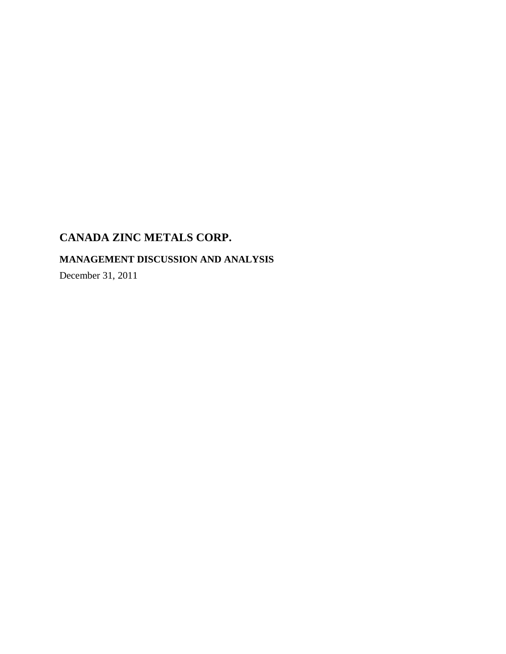# **MANAGEMENT DISCUSSION AND ANALYSIS**

December 31, 2011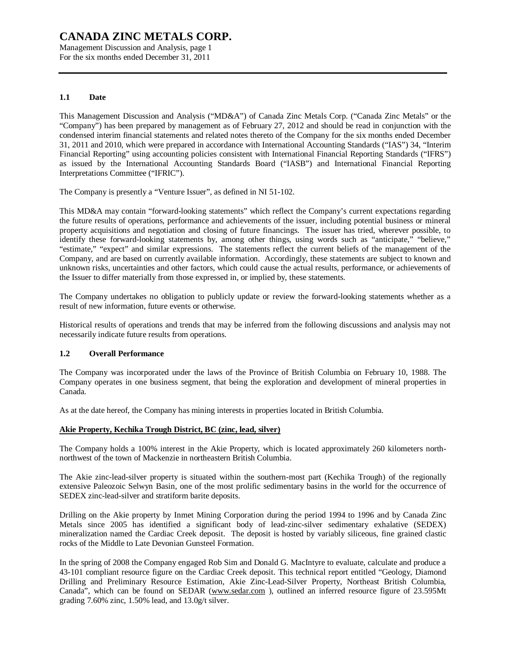Management Discussion and Analysis, page 1 For the six months ended December 31, 2011

# **1.1 Date**

This Management Discussion and Analysis ("MD&A") of Canada Zinc Metals Corp. ("Canada Zinc Metals" or the "Company") has been prepared by management as of February 27, 2012 and should be read in conjunction with the condensed interim financial statements and related notes thereto of the Company for the six months ended December 31, 2011 and 2010, which were prepared in accordance with International Accounting Standards ("IAS") 34, "Interim Financial Reporting" using accounting policies consistent with International Financial Reporting Standards ("IFRS") as issued by the International Accounting Standards Board ("IASB") and International Financial Reporting Interpretations Committee ("IFRIC").

The Company is presently a "Venture Issuer", as defined in NI 51-102.

This MD&A may contain "forward-looking statements" which reflect the Company's current expectations regarding the future results of operations, performance and achievements of the issuer, including potential business or mineral property acquisitions and negotiation and closing of future financings. The issuer has tried, wherever possible, to identify these forward-looking statements by, among other things, using words such as "anticipate," "believe," "estimate," "expect" and similar expressions. The statements reflect the current beliefs of the management of the Company, and are based on currently available information. Accordingly, these statements are subject to known and unknown risks, uncertainties and other factors, which could cause the actual results, performance, or achievements of the Issuer to differ materially from those expressed in, or implied by, these statements.

The Company undertakes no obligation to publicly update or review the forward-looking statements whether as a result of new information, future events or otherwise.

Historical results of operations and trends that may be inferred from the following discussions and analysis may not necessarily indicate future results from operations.

### **1.2 Overall Performance**

The Company was incorporated under the laws of the Province of British Columbia on February 10, 1988. The Company operates in one business segment, that being the exploration and development of mineral properties in Canada.

As at the date hereof, the Company has mining interests in properties located in British Columbia.

### **Akie Property, Kechika Trough District, BC (zinc, lead, silver)**

The Company holds a 100% interest in the Akie Property, which is located approximately 260 kilometers northnorthwest of the town of Mackenzie in northeastern British Columbia.

The Akie zinc-lead-silver property is situated within the southern-most part (Kechika Trough) of the regionally extensive Paleozoic Selwyn Basin, one of the most prolific sedimentary basins in the world for the occurrence of SEDEX zinc-lead-silver and stratiform barite deposits.

Drilling on the Akie property by Inmet Mining Corporation during the period 1994 to 1996 and by Canada Zinc Metals since 2005 has identified a significant body of lead-zinc-silver sedimentary exhalative (SEDEX) mineralization named the Cardiac Creek deposit. The deposit is hosted by variably siliceous, fine grained clastic rocks of the Middle to Late Devonian Gunsteel Formation.

In the spring of 2008 the Company engaged Rob Sim and Donald G. MacIntyre to evaluate, calculate and produce a 43-101 compliant resource figure on the Cardiac Creek deposit. This technical report entitled "Geology, Diamond Drilling and Preliminary Resource Estimation, Akie Zinc-Lead-Silver Property, Northeast British Columbia, Canada", which can be found on SEDAR [\(www.sedar.com](http://www.sedar.com) ), outlined an inferred resource figure of 23.595Mt grading 7.60% zinc, 1.50% lead, and 13.0g/t silver.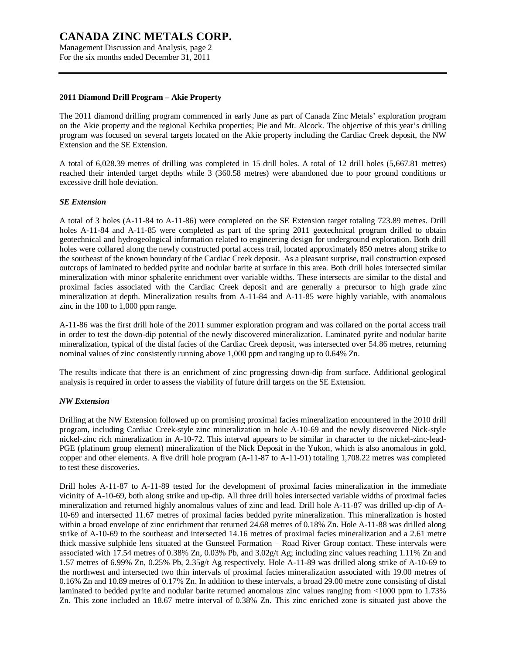Management Discussion and Analysis, page 2 For the six months ended December 31, 2011

#### **2011 Diamond Drill Program – Akie Property**

The 2011 diamond drilling program commenced in early June as part of Canada Zinc Metals' exploration program on the Akie property and the regional Kechika properties; Pie and Mt. Alcock. The objective of this year's drilling program was focused on several targets located on the Akie property including the Cardiac Creek deposit, the NW Extension and the SE Extension.

A total of 6,028.39 metres of drilling was completed in 15 drill holes. A total of 12 drill holes (5,667.81 metres) reached their intended target depths while 3 (360.58 metres) were abandoned due to poor ground conditions or excessive drill hole deviation.

### *SE Extension*

A total of 3 holes (A-11-84 to A-11-86) were completed on the SE Extension target totaling 723.89 metres. Drill holes A-11-84 and A-11-85 were completed as part of the spring 2011 geotechnical program drilled to obtain geotechnical and hydrogeological information related to engineering design for underground exploration. Both drill holes were collared along the newly constructed portal access trail, located approximately 850 metres along strike to the southeast of the known boundary of the Cardiac Creek deposit. As a pleasant surprise, trail construction exposed outcrops of laminated to bedded pyrite and nodular barite at surface in this area. Both drill holes intersected similar mineralization with minor sphalerite enrichment over variable widths. These intersects are similar to the distal and proximal facies associated with the Cardiac Creek deposit and are generally a precursor to high grade zinc mineralization at depth. Mineralization results from A-11-84 and A-11-85 were highly variable, with anomalous zinc in the 100 to 1,000 ppm range.

A-11-86 was the first drill hole of the 2011 summer exploration program and was collared on the portal access trail in order to test the down-dip potential of the newly discovered mineralization. Laminated pyrite and nodular barite mineralization, typical of the distal facies of the Cardiac Creek deposit, was intersected over 54.86 metres, returning nominal values of zinc consistently running above 1,000 ppm and ranging up to 0.64% Zn.

The results indicate that there is an enrichment of zinc progressing down-dip from surface. Additional geological analysis is required in order to assess the viability of future drill targets on the SE Extension.

#### *NW Extension*

Drilling at the NW Extension followed up on promising proximal facies mineralization encountered in the 2010 drill program, including Cardiac Creek-style zinc mineralization in hole A-10-69 and the newly discovered Nick-style nickel-zinc rich mineralization in A-10-72. This interval appears to be similar in character to the nickel-zinc-lead-PGE (platinum group element) mineralization of the Nick Deposit in the Yukon, which is also anomalous in gold, copper and other elements. A five drill hole program (A-11-87 to A-11-91) totaling 1,708.22 metres was completed to test these discoveries.

Drill holes A-11-87 to A-11-89 tested for the development of proximal facies mineralization in the immediate vicinity of A-10-69, both along strike and up-dip. All three drill holes intersected variable widths of proximal facies mineralization and returned highly anomalous values of zinc and lead. Drill hole A-11-87 was drilled up-dip of A-10-69 and intersected 11.67 metres of proximal facies bedded pyrite mineralization. This mineralization is hosted within a broad envelope of zinc enrichment that returned 24.68 metres of 0.18% Zn. Hole A-11-88 was drilled along strike of A-10-69 to the southeast and intersected 14.16 metres of proximal facies mineralization and a 2.61 metre thick massive sulphide lens situated at the Gunsteel Formation – Road River Group contact. These intervals were associated with 17.54 metres of 0.38% Zn, 0.03% Pb, and 3.02g/t Ag; including zinc values reaching 1.11% Zn and 1.57 metres of 6.99% Zn, 0.25% Pb, 2.35g/t Ag respectively. Hole A-11-89 was drilled along strike of A-10-69 to the northwest and intersected two thin intervals of proximal facies mineralization associated with 19.00 metres of 0.16% Zn and 10.89 metres of 0.17% Zn. In addition to these intervals, a broad 29.00 metre zone consisting of distal laminated to bedded pyrite and nodular barite returned anomalous zinc values ranging from <1000 ppm to 1.73% Zn. This zone included an 18.67 metre interval of 0.38% Zn. This zinc enriched zone is situated just above the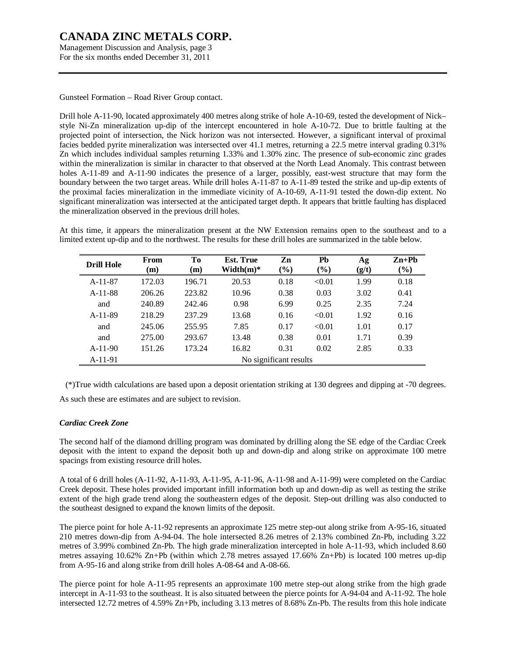Management Discussion and Analysis, page 3 For the six months ended December 31, 2011

Gunsteel Formation – Road River Group contact.

Drill hole A-11-90, located approximately 400 metres along strike of hole A-10-69, tested the development of Nick– style Ni-Zn mineralization up-dip of the intercept encountered in hole A-10-72. Due to brittle faulting at the projected point of intersection, the Nick horizon was not intersected. However, a significant interval of proximal facies bedded pyrite mineralization was intersected over 41.1 metres, returning a 22.5 metre interval grading 0.31% Zn which includes individual samples returning 1.33% and 1.30% zinc. The presence of sub-economic zinc grades within the mineralization is similar in character to that observed at the North Lead Anomaly. This contrast between holes A-11-89 and A-11-90 indicates the presence of a larger, possibly, east-west structure that may form the boundary between the two target areas. While drill holes A-11-87 to A-11-89 tested the strike and up-dip extents of the proximal facies mineralization in the immediate vicinity of A-10-69, A-11-91 tested the down-dip extent. No significant mineralization was intersected at the anticipated target depth. It appears that brittle faulting has displaced the mineralization observed in the previous drill holes.

At this time, it appears the mineralization present at the NW Extension remains open to the southeast and to a limited extent up-dip and to the northwest. The results for these drill holes are summarized in the table below.

| <b>Drill Hole</b> | From<br>(m) | Tо<br>(m) | <b>Est. True</b><br>$Width(m)*$ | Zn<br>$(\%)$           | Pb<br>$(\%)$ | Ag<br>(g/t) | $Zn+Ph$<br>$(\%)$ |
|-------------------|-------------|-----------|---------------------------------|------------------------|--------------|-------------|-------------------|
| $A-11-87$         | 172.03      | 196.71    | 20.53                           | 0.18                   | < 0.01       | 1.99        | 0.18              |
| $A-11-88$         | 206.26      | 223.82    | 10.96                           | 0.38                   | 0.03         | 3.02        | 0.41              |
| and               | 240.89      | 242.46    | 0.98                            | 6.99                   | 0.25         | 2.35        | 7.24              |
| $A-11-89$         | 218.29      | 237.29    | 13.68                           | 0.16                   | < 0.01       | 1.92        | 0.16              |
| and               | 245.06      | 255.95    | 7.85                            | 0.17                   | < 0.01       | 1.01        | 0.17              |
| and               | 275.00      | 293.67    | 13.48                           | 0.38                   | 0.01         | 1.71        | 0.39              |
| $A-11-90$         | 151.26      | 173.24    | 16.82                           | 0.31                   | 0.02         | 2.85        | 0.33              |
| $A-11-91$         |             |           |                                 | No significant results |              |             |                   |

 (\*)True width calculations are based upon a deposit orientation striking at 130 degrees and dipping at -70 degrees. As such these are estimates and are subject to revision.

### *Cardiac Creek Zone*

The second half of the diamond drilling program was dominated by drilling along the SE edge of the Cardiac Creek deposit with the intent to expand the deposit both up and down-dip and along strike on approximate 100 metre spacings from existing resource drill holes.

A total of 6 drill holes (A-11-92, A-11-93, A-11-95, A-11-96, A-11-98 and A-11-99) were completed on the Cardiac Creek deposit. These holes provided important infill information both up and down-dip as well as testing the strike extent of the high grade trend along the southeastern edges of the deposit. Step-out drilling was also conducted to the southeast designed to expand the known limits of the deposit.

The pierce point for hole A-11-92 represents an approximate 125 metre step-out along strike from A-95-16, situated 210 metres down-dip from A-94-04. The hole intersected 8.26 metres of 2.13% combined Zn-Pb, including 3.22 metres of 3.99% combined Zn-Pb. The high grade mineralization intercepted in hole A-11-93, which included 8.60 metres assaying 10.62% Zn+Pb (within which 2.78 metres assayed 17.66% Zn+Pb) is located 100 metres up-dip from A-95-16 and along strike from drill holes A-08-64 and A-08-66.

The pierce point for hole A-11-95 represents an approximate 100 metre step-out along strike from the high grade intercept in A-11-93 to the southeast. It is also situated between the pierce points for A-94-04 and A-11-92. The hole intersected 12.72 metres of 4.59% Zn+Pb, including 3.13 metres of 8.68% Zn-Pb. The results from this hole indicate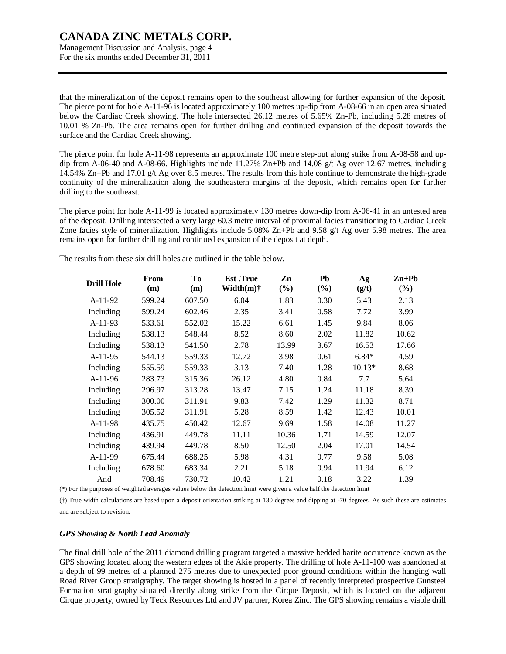Management Discussion and Analysis, page 4 For the six months ended December 31, 2011

that the mineralization of the deposit remains open to the southeast allowing for further expansion of the deposit. The pierce point for hole A-11-96 is located approximately 100 metres up-dip from A-08-66 in an open area situated below the Cardiac Creek showing. The hole intersected 26.12 metres of 5.65% Zn-Pb, including 5.28 metres of 10.01 % Zn-Pb. The area remains open for further drilling and continued expansion of the deposit towards the surface and the Cardiac Creek showing.

The pierce point for hole A-11-98 represents an approximate 100 metre step-out along strike from A-08-58 and updip from A-06-40 and A-08-66. Highlights include 11.27% Zn+Pb and 14.08 g/t Ag over 12.67 metres, including 14.54% Zn+Pb and 17.01 g/t Ag over 8.5 metres. The results from this hole continue to demonstrate the high-grade continuity of the mineralization along the southeastern margins of the deposit, which remains open for further drilling to the southeast.

The pierce point for hole A-11-99 is located approximately 130 metres down-dip from A-06-41 in an untested area of the deposit. Drilling intersected a very large 60.3 metre interval of proximal facies transitioning to Cardiac Creek Zone facies style of mineralization. Highlights include 5.08% Zn+Pb and 9.58 g/t Ag over 5.98 metres. The area remains open for further drilling and continued expansion of the deposit at depth.

| <b>Drill Hole</b> | From<br>(m) | To<br>(m) | <b>Est</b> .True<br>Width $(m)$ † | Zn<br>$(\%)$ | Pb<br>$(\%)$ | Ag<br>(g/t) | $\mathbf{Zn} + \mathbf{Pb}$<br>$(\%)$ |
|-------------------|-------------|-----------|-----------------------------------|--------------|--------------|-------------|---------------------------------------|
| $A-11-92$         | 599.24      | 607.50    | 6.04                              | 1.83         | 0.30         | 5.43        | 2.13                                  |
| Including         | 599.24      | 602.46    | 2.35                              | 3.41         | 0.58         | 7.72        | 3.99                                  |
| $A-11-93$         | 533.61      | 552.02    | 15.22                             | 6.61         | 1.45         | 9.84        | 8.06                                  |
| Including         | 538.13      | 548.44    | 8.52                              | 8.60         | 2.02         | 11.82       | 10.62                                 |
| Including         | 538.13      | 541.50    | 2.78                              | 13.99        | 3.67         | 16.53       | 17.66                                 |
| $A-11-95$         | 544.13      | 559.33    | 12.72                             | 3.98         | 0.61         | $6.84*$     | 4.59                                  |
| Including         | 555.59      | 559.33    | 3.13                              | 7.40         | 1.28         | $10.13*$    | 8.68                                  |
| $A-11-96$         | 283.73      | 315.36    | 26.12                             | 4.80         | 0.84         | 7.7         | 5.64                                  |
| Including         | 296.97      | 313.28    | 13.47                             | 7.15         | 1.24         | 11.18       | 8.39                                  |
| Including         | 300.00      | 311.91    | 9.83                              | 7.42         | 1.29         | 11.32       | 8.71                                  |
| Including         | 305.52      | 311.91    | 5.28                              | 8.59         | 1.42         | 12.43       | 10.01                                 |
| $A-11-98$         | 435.75      | 450.42    | 12.67                             | 9.69         | 1.58         | 14.08       | 11.27                                 |
| Including         | 436.91      | 449.78    | 11.11                             | 10.36        | 1.71         | 14.59       | 12.07                                 |
| Including         | 439.94      | 449.78    | 8.50                              | 12.50        | 2.04         | 17.01       | 14.54                                 |
| $A-11-99$         | 675.44      | 688.25    | 5.98                              | 4.31         | 0.77         | 9.58        | 5.08                                  |
| Including         | 678.60      | 683.34    | 2.21                              | 5.18         | 0.94         | 11.94       | 6.12                                  |
| And               | 708.49      | 730.72    | 10.42                             | 1.21         | 0.18         | 3.22        | 1.39                                  |

The results from these six drill holes are outlined in the table below.

(\*) For the purposes of weighted averages values below the detection limit were given a value half the detection limit

(†) True width calculations are based upon a deposit orientation striking at 130 degrees and dipping at -70 degrees. As such these are estimates and are subject to revision.

### *GPS Showing & North Lead Anomaly*

The final drill hole of the 2011 diamond drilling program targeted a massive bedded barite occurrence known as the GPS showing located along the western edges of the Akie property. The drilling of hole A-11-100 was abandoned at a depth of 99 metres of a planned 275 metres due to unexpected poor ground conditions within the hanging wall Road River Group stratigraphy. The target showing is hosted in a panel of recently interpreted prospective Gunsteel Formation stratigraphy situated directly along strike from the Cirque Deposit, which is located on the adjacent Cirque property, owned by Teck Resources Ltd and JV partner, Korea Zinc. The GPS showing remains a viable drill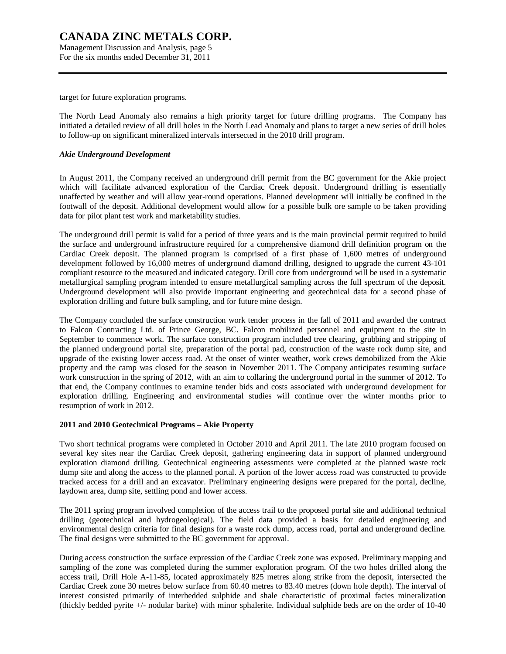Management Discussion and Analysis, page 5 For the six months ended December 31, 2011

target for future exploration programs.

The North Lead Anomaly also remains a high priority target for future drilling programs. The Company has initiated a detailed review of all drill holes in the North Lead Anomaly and plans to target a new series of drill holes to follow-up on significant mineralized intervals intersected in the 2010 drill program.

### *Akie Underground Development*

In August 2011, the Company received an underground drill permit from the BC government for the Akie project which will facilitate advanced exploration of the Cardiac Creek deposit. Underground drilling is essentially unaffected by weather and will allow year-round operations. Planned development will initially be confined in the footwall of the deposit. Additional development would allow for a possible bulk ore sample to be taken providing data for pilot plant test work and marketability studies.

The underground drill permit is valid for a period of three years and is the main provincial permit required to build the surface and underground infrastructure required for a comprehensive diamond drill definition program on the Cardiac Creek deposit. The planned program is comprised of a first phase of 1,600 metres of underground development followed by 16,000 metres of underground diamond drilling, designed to upgrade the current 43-101 compliant resource to the measured and indicated category. Drill core from underground will be used in a systematic metallurgical sampling program intended to ensure metallurgical sampling across the full spectrum of the deposit. Underground development will also provide important engineering and geotechnical data for a second phase of exploration drilling and future bulk sampling, and for future mine design.

The Company concluded the surface construction work tender process in the fall of 2011 and awarded the contract to Falcon Contracting Ltd. of Prince George, BC. Falcon mobilized personnel and equipment to the site in September to commence work. The surface construction program included tree clearing, grubbing and stripping of the planned underground portal site, preparation of the portal pad, construction of the waste rock dump site, and upgrade of the existing lower access road. At the onset of winter weather, work crews demobilized from the Akie property and the camp was closed for the season in November 2011. The Company anticipates resuming surface work construction in the spring of 2012, with an aim to collaring the underground portal in the summer of 2012. To that end, the Company continues to examine tender bids and costs associated with underground development for exploration drilling. Engineering and environmental studies will continue over the winter months prior to resumption of work in 2012.

#### **2011 and 2010 Geotechnical Programs – Akie Property**

Two short technical programs were completed in October 2010 and April 2011. The late 2010 program focused on several key sites near the Cardiac Creek deposit, gathering engineering data in support of planned underground exploration diamond drilling. Geotechnical engineering assessments were completed at the planned waste rock dump site and along the access to the planned portal. A portion of the lower access road was constructed to provide tracked access for a drill and an excavator. Preliminary engineering designs were prepared for the portal, decline, laydown area, dump site, settling pond and lower access.

The 2011 spring program involved completion of the access trail to the proposed portal site and additional technical drilling (geotechnical and hydrogeological). The field data provided a basis for detailed engineering and environmental design criteria for final designs for a waste rock dump, access road, portal and underground decline. The final designs were submitted to the BC government for approval.

During access construction the surface expression of the Cardiac Creek zone was exposed. Preliminary mapping and sampling of the zone was completed during the summer exploration program. Of the two holes drilled along the access trail, Drill Hole A-11-85, located approximately 825 metres along strike from the deposit, intersected the Cardiac Creek zone 30 metres below surface from 60.40 metres to 83.40 metres (down hole depth). The interval of interest consisted primarily of interbedded sulphide and shale characteristic of proximal facies mineralization (thickly bedded pyrite +/- nodular barite) with minor sphalerite. Individual sulphide beds are on the order of 10-40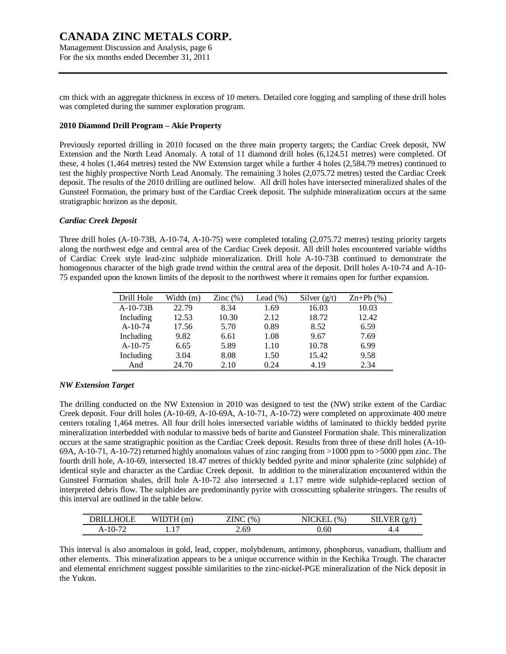Management Discussion and Analysis, page 6 For the six months ended December 31, 2011

cm thick with an aggregate thickness in excess of 10 meters. Detailed core logging and sampling of these drill holes was completed during the summer exploration program.

#### **2010 Diamond Drill Program – Akie Property**

Previously reported drilling in 2010 focused on the three main property targets; the Cardiac Creek deposit, NW Extension and the North Lead Anomaly. A total of 11 diamond drill holes (6,124.51 metres) were completed. Of these, 4 holes (1,464 metres) tested the NW Extension target while a further 4 holes (2,584.79 metres) continued to test the highly prospective North Lead Anomaly. The remaining 3 holes (2,075.72 metres) tested the Cardiac Creek deposit. The results of the 2010 drilling are outlined below. All drill holes have intersected mineralized shales of the Gunsteel Formation, the primary host of the Cardiac Creek deposit. The sulphide mineralization occurs at the same stratigraphic horizon as the deposit.

#### *Cardiac Creek Deposit*

Three drill holes (A-10-73B, A-10-74, A-10-75) were completed totaling (2,075.72 metres) testing priority targets along the northwest edge and central area of the Cardiac Creek deposit. All drill holes encountered variable widths of Cardiac Creek style lead-zinc sulphide mineralization. Drill hole A-10-73B continued to demonstrate the homogenous character of the high grade trend within the central area of the deposit. Drill holes A-10-74 and A-10-75 expanded upon the known limits of the deposit to the northwest where it remains open for further expansion.

| Drill Hole | Width (m) | Zinc $(\%)$ | Lead $(\%)$ | Silver $(g/t)$ | $Zn+Pb(%)$ |
|------------|-----------|-------------|-------------|----------------|------------|
| $A-10-73B$ | 22.79     | 8.34        | 1.69        | 16.03          | 10.03      |
| Including  | 12.53     | 10.30       | 2.12        | 18.72          | 12.42      |
| $A-10-74$  | 17.56     | 5.70        | 0.89        | 8.52           | 6.59       |
| Including  | 9.82      | 6.61        | 1.08        | 9.67           | 7.69       |
| $A-10-75$  | 6.65      | 5.89        | 1.10        | 10.78          | 6.99       |
| Including  | 3.04      | 8.08        | 1.50        | 15.42          | 9.58       |
| And        | 24.70     | 2.10        | 0.24        | 4.19           | 2.34       |

### *NW Extension Target*

The drilling conducted on the NW Extension in 2010 was designed to test the (NW) strike extent of the Cardiac Creek deposit. Four drill holes (A-10-69, A-10-69A, A-10-71, A-10-72) were completed on approximate 400 metre centers totaling 1,464 metres. All four drill holes intersected variable widths of laminated to thickly bedded pyrite mineralization interbedded with nodular to massive beds of barite and Gunsteel Formation shale. This mineralization occurs at the same stratigraphic position as the Cardiac Creek deposit. Results from three of these drill holes (A-10- 69A, A-10-71, A-10-72) returned highly anomalous values of zinc ranging from >1000 ppm to >5000 ppm zinc. The fourth drill hole, A-10-69, intersected 18.47 metres of thickly bedded pyrite and minor sphalerite (zinc sulphide) of identical style and character as the Cardiac Creek deposit. In addition to the mineralization encountered within the Gunsteel Formation shales, drill hole A-10-72 also intersected a 1.17 metre wide sulphide-replaced section of interpreted debris flow. The sulphides are predominantly pyrite with crosscutting sphalerite stringers. The results of this interval are outlined in the table below.

| <b>DDI</b><br>וואנ | m<br>WH     | ZINC<br>(0) | $\frac{1}{2}$ | $(\sigma/t)$<br>нк |
|--------------------|-------------|-------------|---------------|--------------------|
| $A-10-$            | $\sim$<br>. | 2.69        | J.60          | T. 7               |

This interval is also anomalous in gold, lead, copper, molybdenum, antimony, phosphorus, vanadium, thallium and other elements. This mineralization appears to be a unique occurrence within in the Kechika Trough. The character and elemental enrichment suggest possible similarities to the zinc-nickel-PGE mineralization of the Nick deposit in the Yukon.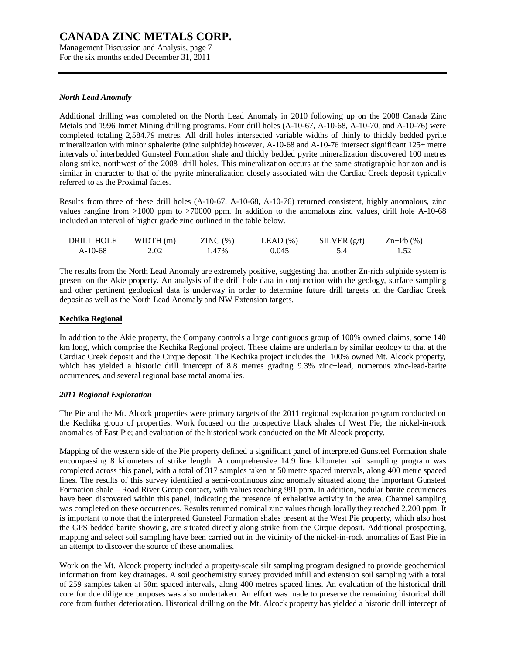Management Discussion and Analysis, page 7 For the six months ended December 31, 2011

### *North Lead Anomaly*

Additional drilling was completed on the North Lead Anomaly in 2010 following up on the 2008 Canada Zinc Metals and 1996 Inmet Mining drilling programs. Four drill holes (A-10-67, A-10-68, A-10-70, and A-10-76) were completed totaling 2,584.79 metres. All drill holes intersected variable widths of thinly to thickly bedded pyrite mineralization with minor sphalerite (zinc sulphide) however, A-10-68 and A-10-76 intersect significant 125+ metre intervals of interbedded Gunsteel Formation shale and thickly bedded pyrite mineralization discovered 100 metres along strike, northwest of the 2008 drill holes. This mineralization occurs at the same stratigraphic horizon and is similar in character to that of the pyrite mineralization closely associated with the Cardiac Creek deposit typically referred to as the Proximal facies.

Results from three of these drill holes (A-10-67, A-10-68, A-10-76) returned consistent, highly anomalous, zinc values ranging from >1000 ppm to >70000 ppm. In addition to the anomalous zinc values, drill hole A-10-68 included an interval of higher grade zinc outlined in the table below.

| $T \cap T$<br>)R II | m<br>w | $\overline{a}$<br>$\frac{1}{2}$<br>◥◟ | $\frac{1}{2}$<br>AL<br>- | $\sim$ $\sim$<br>$\sigma/t$<br>E.N | Dh<br>(0)<br>ີ<br>-11-<br>70 |
|---------------------|--------|---------------------------------------|--------------------------|------------------------------------|------------------------------|
| A-10-08             | 2.02   | $17\%$<br>. .                         | 0.045                    |                                    | $\sim$ $\sim$<br>.           |

The results from the North Lead Anomaly are extremely positive, suggesting that another Zn-rich sulphide system is present on the Akie property. An analysis of the drill hole data in conjunction with the geology, surface sampling and other pertinent geological data is underway in order to determine future drill targets on the Cardiac Creek deposit as well as the North Lead Anomaly and NW Extension targets.

# **Kechika Regional**

In addition to the Akie property, the Company controls a large contiguous group of 100% owned claims, some 140 km long, which comprise the Kechika Regional project. These claims are underlain by similar geology to that at the Cardiac Creek deposit and the Cirque deposit. The Kechika project includes the 100% owned Mt. Alcock property, which has yielded a historic drill intercept of 8.8 metres grading 9.3% zinc+lead, numerous zinc-lead-barite occurrences, and several regional base metal anomalies.

### *2011 Regional Exploration*

The Pie and the Mt. Alcock properties were primary targets of the 2011 regional exploration program conducted on the Kechika group of properties. Work focused on the prospective black shales of West Pie; the nickel-in-rock anomalies of East Pie; and evaluation of the historical work conducted on the Mt Alcock property.

Mapping of the western side of the Pie property defined a significant panel of interpreted Gunsteel Formation shale encompassing 8 kilometers of strike length. A comprehensive 14.9 line kilometer soil sampling program was completed across this panel, with a total of 317 samples taken at 50 metre spaced intervals, along 400 metre spaced lines. The results of this survey identified a semi-continuous zinc anomaly situated along the important Gunsteel Formation shale – Road River Group contact, with values reaching 991 ppm. In addition, nodular barite occurrences have been discovered within this panel, indicating the presence of exhalative activity in the area. Channel sampling was completed on these occurrences. Results returned nominal zinc values though locally they reached 2,200 ppm. It is important to note that the interpreted Gunsteel Formation shales present at the West Pie property, which also host the GPS bedded barite showing, are situated directly along strike from the Cirque deposit. Additional prospecting, mapping and select soil sampling have been carried out in the vicinity of the nickel-in-rock anomalies of East Pie in an attempt to discover the source of these anomalies.

Work on the Mt. Alcock property included a property-scale silt sampling program designed to provide geochemical information from key drainages. A soil geochemistry survey provided infill and extension soil sampling with a total of 259 samples taken at 50m spaced intervals, along 400 metres spaced lines. An evaluation of the historical drill core for due diligence purposes was also undertaken. An effort was made to preserve the remaining historical drill core from further deterioration. Historical drilling on the Mt. Alcock property has yielded a historic drill intercept of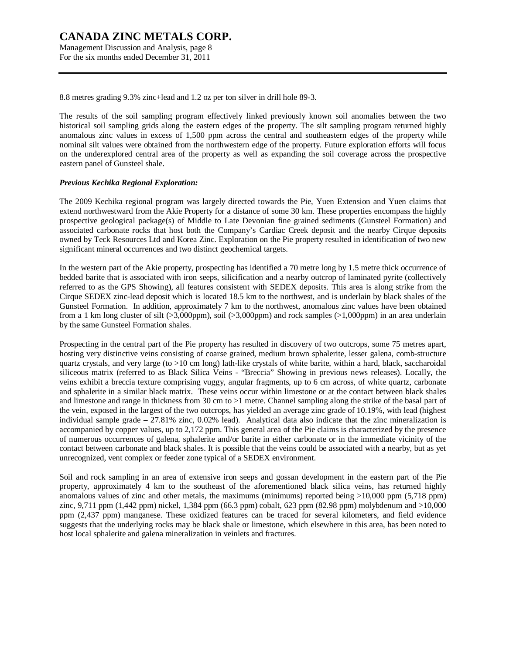Management Discussion and Analysis, page 8 For the six months ended December 31, 2011

8.8 metres grading 9.3% zinc+lead and 1.2 oz per ton silver in drill hole 89-3.

The results of the soil sampling program effectively linked previously known soil anomalies between the two historical soil sampling grids along the eastern edges of the property. The silt sampling program returned highly anomalous zinc values in excess of 1,500 ppm across the central and southeastern edges of the property while nominal silt values were obtained from the northwestern edge of the property. Future exploration efforts will focus on the underexplored central area of the property as well as expanding the soil coverage across the prospective eastern panel of Gunsteel shale.

#### *Previous Kechika Regional Exploration:*

The 2009 Kechika regional program was largely directed towards the Pie, Yuen Extension and Yuen claims that extend northwestward from the Akie Property for a distance of some 30 km. These properties encompass the highly prospective geological package(s) of Middle to Late Devonian fine grained sediments (Gunsteel Formation) and associated carbonate rocks that host both the Company's Cardiac Creek deposit and the nearby Cirque deposits owned by Teck Resources Ltd and Korea Zinc. Exploration on the Pie property resulted in identification of two new significant mineral occurrences and two distinct geochemical targets.

In the western part of the Akie property, prospecting has identified a 70 metre long by 1.5 metre thick occurrence of bedded barite that is associated with iron seeps, silicification and a nearby outcrop of laminated pyrite (collectively referred to as the GPS Showing), all features consistent with SEDEX deposits. This area is along strike from the Cirque SEDEX zinc-lead deposit which is located 18.5 km to the northwest, and is underlain by black shales of the Gunsteel Formation. In addition, approximately 7 km to the northwest, anomalous zinc values have been obtained from a 1 km long cluster of silt (>3,000ppm), soil (>3,000ppm) and rock samples (>1,000ppm) in an area underlain by the same Gunsteel Formation shales.

Prospecting in the central part of the Pie property has resulted in discovery of two outcrops, some 75 metres apart, hosting very distinctive veins consisting of coarse grained, medium brown sphalerite, lesser galena, comb-structure quartz crystals, and very large (to >10 cm long) lath-like crystals of white barite, within a hard, black, saccharoidal siliceous matrix (referred to as Black Silica Veins - "Breccia" Showing in previous news releases). Locally, the veins exhibit a breccia texture comprising vuggy, angular fragments, up to 6 cm across, of white quartz, carbonate and sphalerite in a similar black matrix. These veins occur within limestone or at the contact between black shales and limestone and range in thickness from 30 cm to >1 metre. Channel sampling along the strike of the basal part of the vein, exposed in the largest of the two outcrops, has yielded an average zinc grade of 10.19%, with lead (highest individual sample grade  $-27.81\%$  zinc, 0.02% lead). Analytical data also indicate that the zinc mineralization is accompanied by copper values, up to 2,172 ppm. This general area of the Pie claims is characterized by the presence of numerous occurrences of galena, sphalerite and/or barite in either carbonate or in the immediate vicinity of the contact between carbonate and black shales. It is possible that the veins could be associated with a nearby, but as yet unrecognized, vent complex or feeder zone typical of a SEDEX environment.

Soil and rock sampling in an area of extensive iron seeps and gossan development in the eastern part of the Pie property, approximately 4 km to the southeast of the aforementioned black silica veins, has returned highly anomalous values of zinc and other metals, the maximums (minimums) reported being >10,000 ppm (5,718 ppm) zinc, 9,711 ppm (1,442 ppm) nickel, 1,384 ppm (66.3 ppm) cobalt, 623 ppm (82.98 ppm) molybdenum and >10,000 ppm (2,437 ppm) manganese. These oxidized features can be traced for several kilometers, and field evidence suggests that the underlying rocks may be black shale or limestone, which elsewhere in this area, has been noted to host local sphalerite and galena mineralization in veinlets and fractures.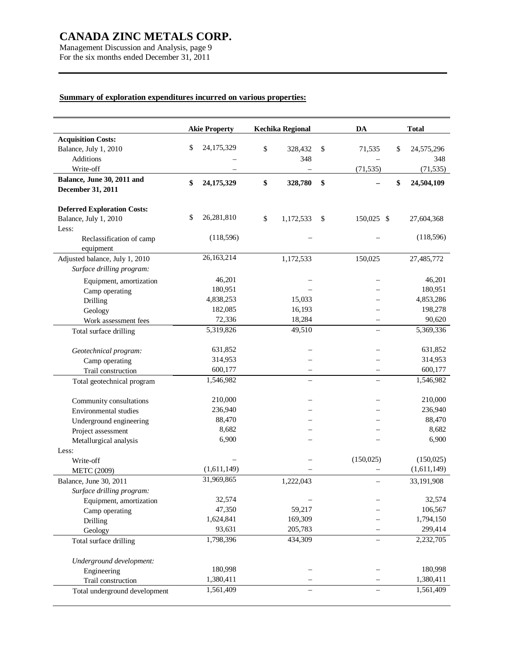Management Discussion and Analysis, page 9 For the six months ended December 31, 2011

# **Summary of exploration expenditures incurred on various properties:**

|                                                             | <b>Akie Property</b> | <b>Kechika Regional</b> | DA                       | <b>Total</b>      |
|-------------------------------------------------------------|----------------------|-------------------------|--------------------------|-------------------|
| <b>Acquisition Costs:</b>                                   |                      |                         |                          |                   |
| Balance, July 1, 2010                                       | \$<br>24,175,329     | \$<br>328,432           | \$<br>71,535             | \$<br>24,575,296  |
| Additions                                                   |                      | 348                     |                          | 348               |
| Write-off                                                   |                      |                         | (71, 535)                | (71, 535)         |
| Balance, June 30, 2011 and                                  | \$<br>24,175,329     | \$<br>328,780           | \$                       | \$<br>24,504,109  |
| December 31, 2011                                           |                      |                         |                          |                   |
|                                                             |                      |                         |                          |                   |
| <b>Deferred Exploration Costs:</b><br>Balance, July 1, 2010 | \$<br>26,281,810     | \$<br>1,172,533         | \$<br>150,025 \$         |                   |
| Less:                                                       |                      |                         |                          | 27,604,368        |
| Reclassification of camp                                    | (118, 596)           |                         |                          | (118, 596)        |
| equipment                                                   |                      |                         |                          |                   |
| Adjusted balance, July 1, 2010                              | 26, 163, 214         | 1,172,533               | 150,025                  | 27,485,772        |
| Surface drilling program:                                   |                      |                         |                          |                   |
|                                                             | 46,201               |                         |                          |                   |
| Equipment, amortization                                     | 180,951              |                         |                          | 46,201<br>180,951 |
| Camp operating                                              | 4,838,253            | 15,033                  |                          | 4,853,286         |
| Drilling                                                    | 182,085              | 16,193                  |                          | 198,278           |
| Geology                                                     | 72,336               | 18,284                  |                          | 90,620            |
| Work assessment fees                                        | 5,319,826            | 49,510                  |                          | 5,369,336         |
| Total surface drilling                                      |                      |                         |                          |                   |
| Geotechnical program:                                       | 631,852              |                         |                          | 631,852           |
| Camp operating                                              | 314,953              |                         |                          | 314,953           |
| Trail construction                                          | 600,177              |                         |                          | 600,177           |
| Total geotechnical program                                  | 1,546,982            |                         |                          | 1,546,982         |
|                                                             |                      |                         |                          |                   |
| Community consultations                                     | 210,000              |                         |                          | 210,000           |
| Environmental studies                                       | 236,940              |                         |                          | 236,940           |
| Underground engineering                                     | 88,470               |                         |                          | 88,470            |
| Project assessment                                          | 8,682                |                         |                          | 8,682             |
| Metallurgical analysis                                      | 6,900                |                         |                          | 6,900             |
| Less:                                                       |                      |                         |                          |                   |
| Write-off                                                   |                      |                         | (150, 025)               | (150, 025)        |
| <b>METC (2009)</b>                                          | (1,611,149)          |                         |                          | (1,611,149)       |
| Balance, June 30, 2011                                      | 31,969,865           | 1,222,043               | $\overline{\phantom{0}}$ | 33,191,908        |
| Surface drilling program:                                   |                      |                         |                          |                   |
| Equipment, amortization                                     | 32,574               |                         |                          | 32,574            |
| Camp operating                                              | 47,350               | 59,217                  |                          | 106,567           |
| Drilling                                                    | 1,624,841            | 169,309                 |                          | 1,794,150         |
| Geology                                                     | 93,631               | 205,783                 |                          | 299,414           |
| Total surface drilling                                      | 1,798,396            | 434,309                 |                          | 2,232,705         |
|                                                             |                      |                         |                          |                   |
| Underground development:                                    |                      |                         |                          |                   |
| Engineering                                                 | 180,998              |                         |                          | 180,998           |
| Trail construction                                          | 1,380,411            |                         |                          | 1,380,411         |
| Total underground development                               | 1,561,409            |                         |                          | 1,561,409         |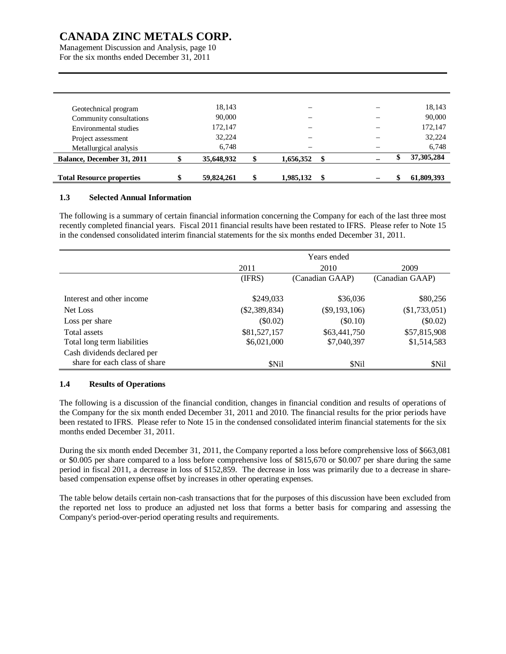Management Discussion and Analysis, page 10 For the six months ended December 31, 2011

| Geotechnical program             | 18,143     |                 |  | 18,143       |
|----------------------------------|------------|-----------------|--|--------------|
| Community consultations          | 90,000     |                 |  | 90,000       |
| Environmental studies            | 172,147    |                 |  | 172,147      |
| Project assessment               | 32,224     |                 |  | 32,224       |
| Metallurgical analysis           | 6,748      |                 |  | 6,748        |
| Balance, December 31, 2011       | 35,648,932 | 1,656,352       |  | 37, 305, 284 |
|                                  |            |                 |  |              |
| <b>Total Resource properties</b> | 59,824,261 | \$<br>1,985,132 |  | 61,809,393   |

### **1.3 Selected Annual Information**

The following is a summary of certain financial information concerning the Company for each of the last three most recently completed financial years. Fiscal 2011 financial results have been restated to IFRS. Please refer to Note 15 in the condensed consolidated interim financial statements for the six months ended December 31, 2011.

|                               | Years ended     |                 |                 |  |  |  |  |
|-------------------------------|-----------------|-----------------|-----------------|--|--|--|--|
|                               | 2011            | 2010            | 2009            |  |  |  |  |
|                               | (IFRS)          | (Canadian GAAP) | (Canadian GAAP) |  |  |  |  |
|                               |                 |                 |                 |  |  |  |  |
| Interest and other income     | \$249,033       | \$36,036        | \$80,256        |  |  |  |  |
| Net Loss                      | $(\$2,389,834)$ | $(\$9,193,106)$ | $(\$1,733,051)$ |  |  |  |  |
| Loss per share                | $(\$0.02)$      | (\$0.10)        | $(\$0.02)$      |  |  |  |  |
| Total assets                  | \$81,527,157    | \$63,441,750    | \$57,815,908    |  |  |  |  |
| Total long term liabilities   | \$6,021,000     | \$7,040,397     | \$1,514,583     |  |  |  |  |
| Cash dividends declared per   |                 |                 |                 |  |  |  |  |
| share for each class of share | \$Nil           | <b>SNil</b>     | <b>SNil</b>     |  |  |  |  |

### **1.4 Results of Operations**

The following is a discussion of the financial condition, changes in financial condition and results of operations of the Company for the six month ended December 31, 2011 and 2010. The financial results for the prior periods have been restated to IFRS. Please refer to Note 15 in the condensed consolidated interim financial statements for the six months ended December 31, 2011.

During the six month ended December 31, 2011, the Company reported a loss before comprehensive loss of \$663,081 or \$0.005 per share compared to a loss before comprehensive loss of \$815,670 or \$0.007 per share during the same period in fiscal 2011, a decrease in loss of \$152,859. The decrease in loss was primarily due to a decrease in sharebased compensation expense offset by increases in other operating expenses.

The table below details certain non-cash transactions that for the purposes of this discussion have been excluded from the reported net loss to produce an adjusted net loss that forms a better basis for comparing and assessing the Company's period-over-period operating results and requirements.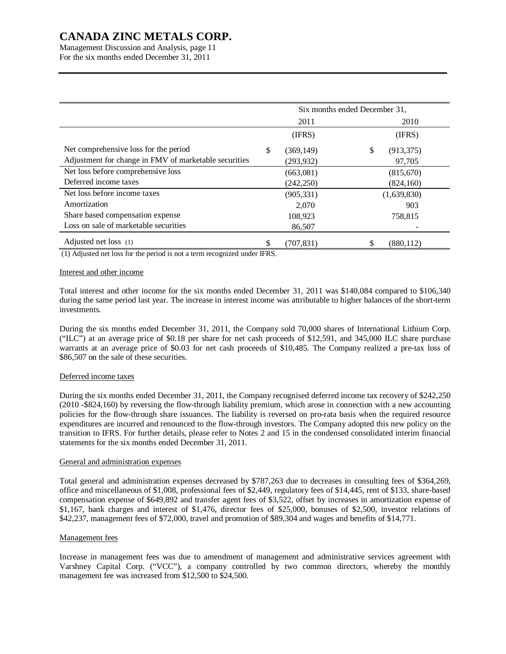Management Discussion and Analysis, page 11 For the six months ended December 31, 2011

|                                                       | Six months ended December 31, |            |    |             |  |
|-------------------------------------------------------|-------------------------------|------------|----|-------------|--|
|                                                       |                               | 2011       |    | 2010        |  |
|                                                       |                               | (IFRS)     |    | (IFRS)      |  |
| Net comprehensive loss for the period                 | \$                            | (369, 149) | \$ | (913, 375)  |  |
| Adjustment for change in FMV of marketable securities |                               | (293, 932) |    | 97,705      |  |
| Net loss before comprehensive loss                    |                               | (663,081)  |    | (815, 670)  |  |
| Deferred income taxes                                 |                               | (242, 250) |    | (824, 160)  |  |
| Net loss before income taxes                          |                               | (905, 331) |    | (1,639,830) |  |
| Amortization                                          |                               | 2.070      |    | 903         |  |
| Share based compensation expense                      |                               | 108,923    |    | 758,815     |  |
| Loss on sale of marketable securities                 |                               | 86,507     |    |             |  |
| Adjusted net loss (1)                                 | \$                            | (707,831)  | \$ | (880, 112)  |  |

(1) Adjusted net loss for the period is not a term recognized under IFRS.

### Interest and other income

Total interest and other income for the six months ended December 31, 2011 was \$140,084 compared to \$106,340 during the same period last year. The increase in interest income was attributable to higher balances of the short-term investments.

During the six months ended December 31, 2011, the Company sold 70,000 shares of International Lithium Corp. ("ILC") at an average price of \$0.18 per share for net cash proceeds of \$12,591, and 345,000 ILC share purchase warrants at an average price of \$0.03 for net cash proceeds of \$10,485. The Company realized a pre-tax loss of \$86,507 on the sale of these securities.

#### Deferred income taxes

During the six months ended December 31, 2011, the Company recognised deferred income tax recovery of \$242,250 (2010 -\$824,160) by reversing the flow-through liability premium, which arose in connection with a new accounting policies for the flow-through share issuances. The liability is reversed on pro-rata basis when the required resource expenditures are incurred and renounced to the flow-through investors. The Company adopted this new policy on the transition to IFRS. For further details, please refer to Notes 2 and 15 in the condensed consolidated interim financial statements for the six months ended December 31, 2011.

#### General and administration expenses

Total general and administration expenses decreased by \$787,263 due to decreases in consulting fees of \$364,269, office and miscellaneous of \$1,008, professional fees of \$2,449, regulatory fees of \$14,445, rent of \$133, share-based compensation expense of \$649,892 and transfer agent fees of \$3,522, offset by increases in amortization expense of \$1,167, bank charges and interest of \$1,476, director fees of \$25,000, bonuses of \$2,500, investor relations of \$42,237, management fees of \$72,000, travel and promotion of \$89,304 and wages and benefits of \$14,771.

#### Management fees

Increase in management fees was due to amendment of management and administrative services agreement with Varshney Capital Corp. ("VCC"), a company controlled by two common directors, whereby the monthly management fee was increased from \$12,500 to \$24,500.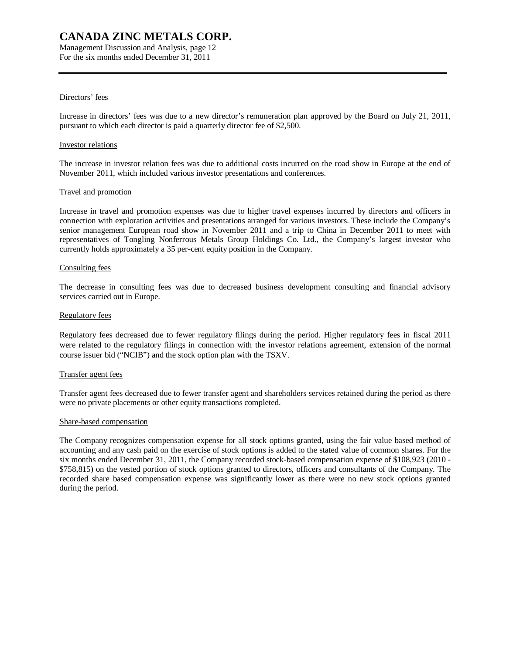Management Discussion and Analysis, page 12 For the six months ended December 31, 2011

### Directors' fees

Increase in directors' fees was due to a new director's remuneration plan approved by the Board on July 21, 2011, pursuant to which each director is paid a quarterly director fee of \$2,500.

#### Investor relations

The increase in investor relation fees was due to additional costs incurred on the road show in Europe at the end of November 2011, which included various investor presentations and conferences.

#### Travel and promotion

Increase in travel and promotion expenses was due to higher travel expenses incurred by directors and officers in connection with exploration activities and presentations arranged for various investors. These include the Company's senior management European road show in November 2011 and a trip to China in December 2011 to meet with representatives of Tongling Nonferrous Metals Group Holdings Co. Ltd., the Company's largest investor who currently holds approximately a 35 per-cent equity position in the Company.

#### Consulting fees

The decrease in consulting fees was due to decreased business development consulting and financial advisory services carried out in Europe.

#### Regulatory fees

Regulatory fees decreased due to fewer regulatory filings during the period. Higher regulatory fees in fiscal 2011 were related to the regulatory filings in connection with the investor relations agreement, extension of the normal course issuer bid ("NCIB") and the stock option plan with the TSXV.

#### Transfer agent fees

Transfer agent fees decreased due to fewer transfer agent and shareholders services retained during the period as there were no private placements or other equity transactions completed.

#### Share-based compensation

The Company recognizes compensation expense for all stock options granted, using the fair value based method of accounting and any cash paid on the exercise of stock options is added to the stated value of common shares. For the six months ended December 31, 2011, the Company recorded stock-based compensation expense of \$108,923 (2010 - \$758,815) on the vested portion of stock options granted to directors, officers and consultants of the Company. The recorded share based compensation expense was significantly lower as there were no new stock options granted during the period.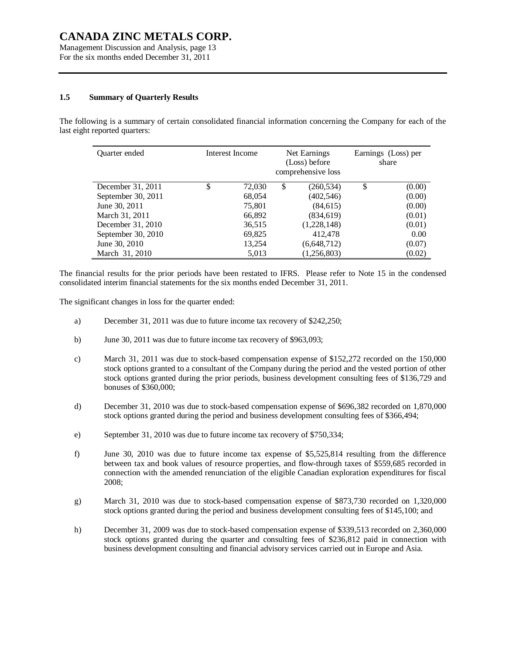Management Discussion and Analysis, page 13 For the six months ended December 31, 2011

#### **1.5 Summary of Quarterly Results**

The following is a summary of certain consolidated financial information concerning the Company for each of the last eight reported quarters:

| Quarter ended      | Interest Income | Net Earnings<br>(Loss) before<br>comprehensive loss |             | Earnings (Loss) per<br>share |        |
|--------------------|-----------------|-----------------------------------------------------|-------------|------------------------------|--------|
| December 31, 2011  | \$<br>72,030    | \$                                                  | (260, 534)  | \$                           | (0.00) |
| September 30, 2011 | 68,054          |                                                     | (402, 546)  |                              | (0.00) |
| June 30, 2011      | 75,801          |                                                     | (84, 615)   |                              | (0.00) |
| March 31, 2011     | 66,892          |                                                     | (834, 619)  |                              | (0.01) |
| December 31, 2010  | 36,515          |                                                     | (1,228,148) |                              | (0.01) |
| September 30, 2010 | 69,825          |                                                     | 412,478     |                              | 0.00   |
| June 30, 2010      | 13,254          |                                                     | (6,648,712) |                              | (0.07) |
| March 31, 2010     | 5,013           |                                                     | (1,256,803) |                              | (0.02) |

The financial results for the prior periods have been restated to IFRS. Please refer to Note 15 in the condensed consolidated interim financial statements for the six months ended December 31, 2011.

The significant changes in loss for the quarter ended:

- a) December 31, 2011 was due to future income tax recovery of \$242,250;
- b) June 30, 2011 was due to future income tax recovery of \$963,093;
- c) March 31, 2011 was due to stock-based compensation expense of \$152,272 recorded on the 150,000 stock options granted to a consultant of the Company during the period and the vested portion of other stock options granted during the prior periods, business development consulting fees of \$136,729 and bonuses of \$360,000;
- d) December 31, 2010 was due to stock-based compensation expense of \$696,382 recorded on 1,870,000 stock options granted during the period and business development consulting fees of \$366,494;
- e) September 31, 2010 was due to future income tax recovery of \$750,334;
- f) June 30, 2010 was due to future income tax expense of \$5,525,814 resulting from the difference between tax and book values of resource properties, and flow-through taxes of \$559,685 recorded in connection with the amended renunciation of the eligible Canadian exploration expenditures for fiscal 2008;
- g) March 31, 2010 was due to stock-based compensation expense of \$873,730 recorded on 1,320,000 stock options granted during the period and business development consulting fees of \$145,100; and
- h) December 31, 2009 was due to stock-based compensation expense of \$339,513 recorded on 2,360,000 stock options granted during the quarter and consulting fees of \$236,812 paid in connection with business development consulting and financial advisory services carried out in Europe and Asia.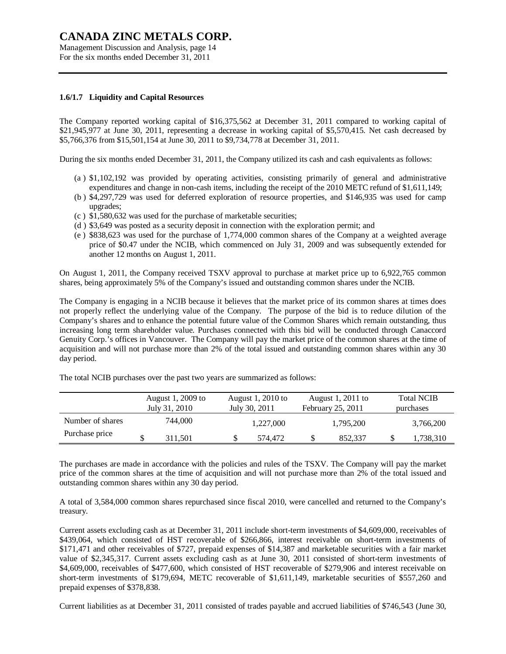Management Discussion and Analysis, page 14 For the six months ended December 31, 2011

#### **1.6/1.7 Liquidity and Capital Resources**

The Company reported working capital of \$16,375,562 at December 31, 2011 compared to working capital of \$21,945,977 at June 30, 2011, representing a decrease in working capital of \$5,570,415. Net cash decreased by \$5,766,376 from \$15,501,154 at June 30, 2011 to \$9,734,778 at December 31, 2011.

During the six months ended December 31, 2011, the Company utilized its cash and cash equivalents as follows:

- (a ) \$1,102,192 was provided by operating activities, consisting primarily of general and administrative expenditures and change in non-cash items, including the receipt of the 2010 METC refund of \$1,611,149;
- (b ) \$4,297,729 was used for deferred exploration of resource properties, and \$146,935 was used for camp upgrades;
- (c ) \$1,580,632 was used for the purchase of marketable securities;
- (d ) \$3,649 was posted as a security deposit in connection with the exploration permit; and
- (e ) \$838,623 was used for the purchase of 1,774,000 common shares of the Company at a weighted average price of \$0.47 under the NCIB, which commenced on July 31, 2009 and was subsequently extended for another 12 months on August 1, 2011.

On August 1, 2011, the Company received TSXV approval to purchase at market price up to 6,922,765 common shares, being approximately 5% of the Company's issued and outstanding common shares under the NCIB.

The Company is engaging in a NCIB because it believes that the market price of its common shares at times does not properly reflect the underlying value of the Company. The purpose of the bid is to reduce dilution of the Company's shares and to enhance the potential future value of the Common Shares which remain outstanding, thus increasing long term shareholder value. Purchases connected with this bid will be conducted through Canaccord Genuity Corp.'s offices in Vancouver. The Company will pay the market price of the common shares at the time of acquisition and will not purchase more than 2% of the total issued and outstanding common shares within any 30 day period.

|                  | August 1, 2009 to<br>July 31, 2010 | August 1, 2010 to<br>July 30, 2011 | August 1, $2011$ to<br>February 25, 2011 | <b>Total NCIB</b><br>purchases |
|------------------|------------------------------------|------------------------------------|------------------------------------------|--------------------------------|
| Number of shares | 744.000                            | 1,227,000                          | 1,795,200                                | 3,766,200                      |
| Purchase price   | 311.501                            | 574,472                            | 852.337                                  | 1,738,310                      |

The total NCIB purchases over the past two years are summarized as follows:

The purchases are made in accordance with the policies and rules of the TSXV. The Company will pay the market price of the common shares at the time of acquisition and will not purchase more than 2% of the total issued and outstanding common shares within any 30 day period.

A total of 3,584,000 common shares repurchased since fiscal 2010, were cancelled and returned to the Company's treasury.

Current assets excluding cash as at December 31, 2011 include short-term investments of \$4,609,000, receivables of \$439,064, which consisted of HST recoverable of \$266,866, interest receivable on short-term investments of \$171,471 and other receivables of \$727, prepaid expenses of \$14,387 and marketable securities with a fair market value of \$2,345,317. Current assets excluding cash as at June 30, 2011 consisted of short-term investments of \$4,609,000, receivables of \$477,600, which consisted of HST recoverable of \$279,906 and interest receivable on short-term investments of \$179,694, METC recoverable of \$1,611,149, marketable securities of \$557,260 and prepaid expenses of \$378,838.

Current liabilities as at December 31, 2011 consisted of trades payable and accrued liabilities of \$746,543 (June 30,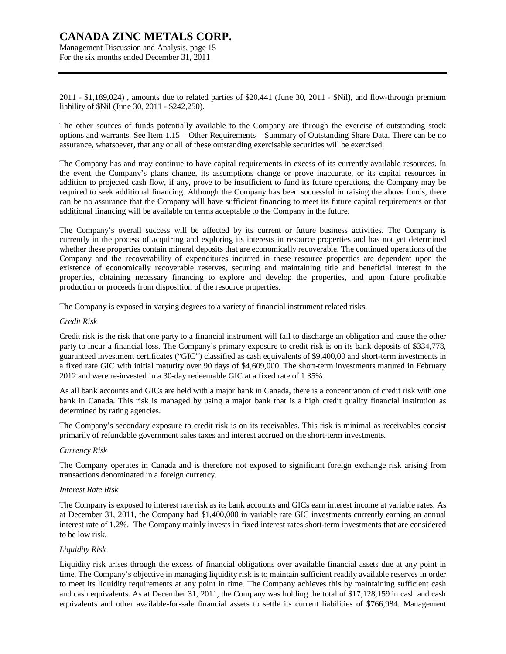Management Discussion and Analysis, page 15 For the six months ended December 31, 2011

2011 - \$1,189,024) , amounts due to related parties of \$20,441 (June 30, 2011 - \$Nil), and flow-through premium liability of \$Nil (June 30, 2011 - \$242,250).

The other sources of funds potentially available to the Company are through the exercise of outstanding stock options and warrants. See Item 1.15 – Other Requirements – Summary of Outstanding Share Data. There can be no assurance, whatsoever, that any or all of these outstanding exercisable securities will be exercised.

The Company has and may continue to have capital requirements in excess of its currently available resources. In the event the Company's plans change, its assumptions change or prove inaccurate, or its capital resources in addition to projected cash flow, if any, prove to be insufficient to fund its future operations, the Company may be required to seek additional financing. Although the Company has been successful in raising the above funds, there can be no assurance that the Company will have sufficient financing to meet its future capital requirements or that additional financing will be available on terms acceptable to the Company in the future.

The Company's overall success will be affected by its current or future business activities. The Company is currently in the process of acquiring and exploring its interests in resource properties and has not yet determined whether these properties contain mineral deposits that are economically recoverable. The continued operations of the Company and the recoverability of expenditures incurred in these resource properties are dependent upon the existence of economically recoverable reserves, securing and maintaining title and beneficial interest in the properties, obtaining necessary financing to explore and develop the properties, and upon future profitable production or proceeds from disposition of the resource properties.

The Company is exposed in varying degrees to a variety of financial instrument related risks.

#### *Credit Risk*

Credit risk is the risk that one party to a financial instrument will fail to discharge an obligation and cause the other party to incur a financial loss. The Company's primary exposure to credit risk is on its bank deposits of \$334,778, guaranteed investment certificates ("GIC") classified as cash equivalents of \$9,400,00 and short-term investments in a fixed rate GIC with initial maturity over 90 days of \$4,609,000. The short-term investments matured in February 2012 and were re-invested in a 30-day redeemable GIC at a fixed rate of 1.35%.

As all bank accounts and GICs are held with a major bank in Canada, there is a concentration of credit risk with one bank in Canada. This risk is managed by using a major bank that is a high credit quality financial institution as determined by rating agencies.

The Company's secondary exposure to credit risk is on its receivables. This risk is minimal as receivables consist primarily of refundable government sales taxes and interest accrued on the short-term investments.

#### *Currency Risk*

The Company operates in Canada and is therefore not exposed to significant foreign exchange risk arising from transactions denominated in a foreign currency.

#### *Interest Rate Risk*

The Company is exposed to interest rate risk as its bank accounts and GICs earn interest income at variable rates. As at December 31, 2011, the Company had \$1,400,000 in variable rate GIC investments currently earning an annual interest rate of 1.2%. The Company mainly invests in fixed interest rates short-term investments that are considered to be low risk.

### *Liquidity Risk*

Liquidity risk arises through the excess of financial obligations over available financial assets due at any point in time. The Company's objective in managing liquidity risk is to maintain sufficient readily available reserves in order to meet its liquidity requirements at any point in time. The Company achieves this by maintaining sufficient cash and cash equivalents. As at December 31, 2011, the Company was holding the total of \$17,128,159 in cash and cash equivalents and other available-for-sale financial assets to settle its current liabilities of \$766,984. Management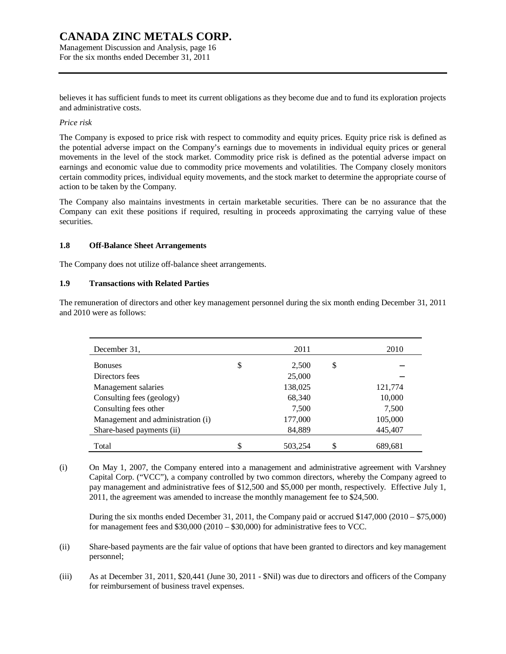Management Discussion and Analysis, page 16 For the six months ended December 31, 2011

believes it has sufficient funds to meet its current obligations as they become due and to fund its exploration projects and administrative costs.

# *Price risk*

The Company is exposed to price risk with respect to commodity and equity prices. Equity price risk is defined as the potential adverse impact on the Company's earnings due to movements in individual equity prices or general movements in the level of the stock market. Commodity price risk is defined as the potential adverse impact on earnings and economic value due to commodity price movements and volatilities. The Company closely monitors certain commodity prices, individual equity movements, and the stock market to determine the appropriate course of action to be taken by the Company.

The Company also maintains investments in certain marketable securities. There can be no assurance that the Company can exit these positions if required, resulting in proceeds approximating the carrying value of these securities.

# **1.8 Off-Balance Sheet Arrangements**

The Company does not utilize off-balance sheet arrangements.

### **1.9 Transactions with Related Parties**

The remuneration of directors and other key management personnel during the six month ending December 31, 2011 and 2010 were as follows:

| December 31.                      | 2011        | 2010    |
|-----------------------------------|-------------|---------|
| <b>Bonuses</b>                    | \$<br>2,500 | \$      |
| Directors fees                    | 25,000      |         |
| Management salaries               | 138,025     | 121,774 |
| Consulting fees (geology)         | 68,340      | 10,000  |
| Consulting fees other             | 7,500       | 7,500   |
| Management and administration (i) | 177,000     | 105,000 |
| Share-based payments (ii)         | 84,889      | 445,407 |
| Total                             | 503,254     | 689,681 |

(i) On May 1, 2007, the Company entered into a management and administrative agreement with Varshney Capital Corp. ("VCC"), a company controlled by two common directors, whereby the Company agreed to pay management and administrative fees of \$12,500 and \$5,000 per month, respectively. Effective July 1, 2011, the agreement was amended to increase the monthly management fee to \$24,500.

During the six months ended December 31, 2011, the Company paid or accrued \$147,000 (2010 – \$75,000) for management fees and \$30,000 (2010 – \$30,000) for administrative fees to VCC.

- (ii) Share-based payments are the fair value of options that have been granted to directors and key management personnel;
- (iii) As at December 31, 2011, \$20,441 (June 30, 2011 \$Nil) was due to directors and officers of the Company for reimbursement of business travel expenses.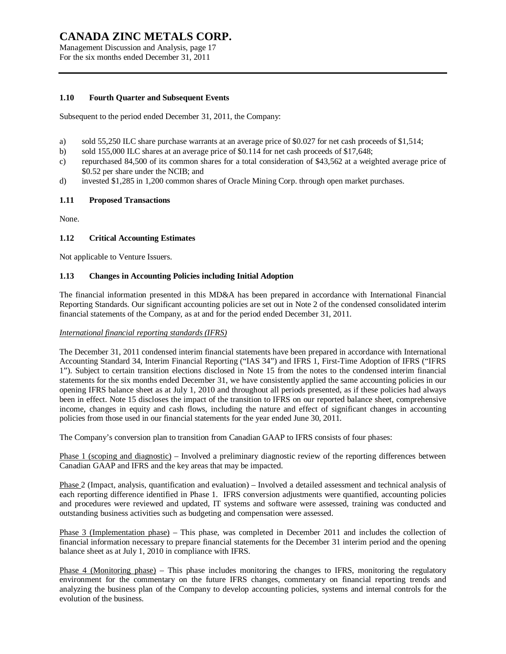Management Discussion and Analysis, page 17 For the six months ended December 31, 2011

### **1.10 Fourth Quarter and Subsequent Events**

Subsequent to the period ended December 31, 2011, the Company:

- a) sold 55,250 ILC share purchase warrants at an average price of \$0.027 for net cash proceeds of \$1,514;
- b) sold 155,000 ILC shares at an average price of \$0.114 for net cash proceeds of \$17,648;
- c) repurchased 84,500 of its common shares for a total consideration of \$43,562 at a weighted average price of \$0.52 per share under the NCIB; and
- d) invested \$1,285 in 1,200 common shares of Oracle Mining Corp. through open market purchases.

#### **1.11 Proposed Transactions**

None.

#### **1.12 Critical Accounting Estimates**

Not applicable to Venture Issuers.

#### **1.13 Changes in Accounting Policies including Initial Adoption**

The financial information presented in this MD&A has been prepared in accordance with International Financial Reporting Standards. Our significant accounting policies are set out in Note 2 of the condensed consolidated interim financial statements of the Company, as at and for the period ended December 31, 2011.

#### *International financial reporting standards (IFRS)*

The December 31, 2011 condensed interim financial statements have been prepared in accordance with International Accounting Standard 34, Interim Financial Reporting ("IAS 34") and IFRS 1, First-Time Adoption of IFRS ("IFRS 1"). Subject to certain transition elections disclosed in Note 15 from the notes to the condensed interim financial statements for the six months ended December 31, we have consistently applied the same accounting policies in our opening IFRS balance sheet as at July 1, 2010 and throughout all periods presented, as if these policies had always been in effect. Note 15 discloses the impact of the transition to IFRS on our reported balance sheet, comprehensive income, changes in equity and cash flows, including the nature and effect of significant changes in accounting policies from those used in our financial statements for the year ended June 30, 2011.

The Company's conversion plan to transition from Canadian GAAP to IFRS consists of four phases:

Phase 1 (scoping and diagnostic) – Involved a preliminary diagnostic review of the reporting differences between Canadian GAAP and IFRS and the key areas that may be impacted.

Phase 2 (Impact, analysis, quantification and evaluation) – Involved a detailed assessment and technical analysis of each reporting difference identified in Phase 1. IFRS conversion adjustments were quantified, accounting policies and procedures were reviewed and updated, IT systems and software were assessed, training was conducted and outstanding business activities such as budgeting and compensation were assessed.

Phase 3 (Implementation phase) – This phase, was completed in December 2011 and includes the collection of financial information necessary to prepare financial statements for the December 31 interim period and the opening balance sheet as at July 1, 2010 in compliance with IFRS.

Phase 4 (Monitoring phase) – This phase includes monitoring the changes to IFRS, monitoring the regulatory environment for the commentary on the future IFRS changes, commentary on financial reporting trends and analyzing the business plan of the Company to develop accounting policies, systems and internal controls for the evolution of the business.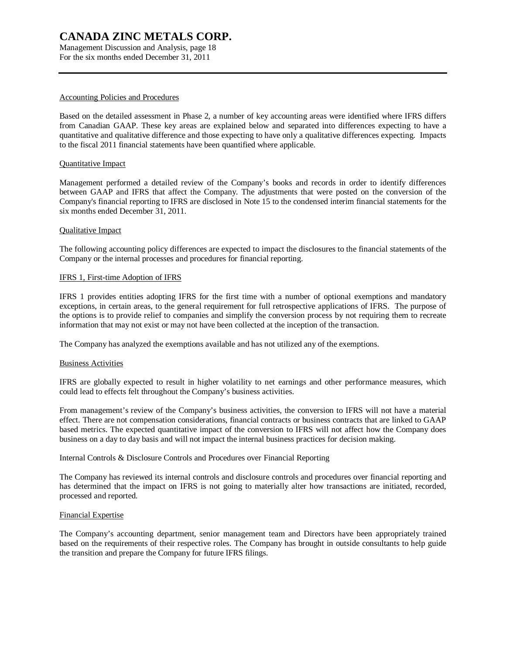Management Discussion and Analysis, page 18 For the six months ended December 31, 2011

#### Accounting Policies and Procedures

Based on the detailed assessment in Phase 2, a number of key accounting areas were identified where IFRS differs from Canadian GAAP. These key areas are explained below and separated into differences expecting to have a quantitative and qualitative difference and those expecting to have only a qualitative differences expecting. Impacts to the fiscal 2011 financial statements have been quantified where applicable.

#### Quantitative Impact

Management performed a detailed review of the Company's books and records in order to identify differences between GAAP and IFRS that affect the Company. The adjustments that were posted on the conversion of the Company's financial reporting to IFRS are disclosed in Note 15 to the condensed interim financial statements for the six months ended December 31, 2011.

#### Qualitative Impact

The following accounting policy differences are expected to impact the disclosures to the financial statements of the Company or the internal processes and procedures for financial reporting.

#### IFRS 1, First-time Adoption of IFRS

IFRS 1 provides entities adopting IFRS for the first time with a number of optional exemptions and mandatory exceptions, in certain areas, to the general requirement for full retrospective applications of IFRS. The purpose of the options is to provide relief to companies and simplify the conversion process by not requiring them to recreate information that may not exist or may not have been collected at the inception of the transaction.

The Company has analyzed the exemptions available and has not utilized any of the exemptions.

#### Business Activities

IFRS are globally expected to result in higher volatility to net earnings and other performance measures, which could lead to effects felt throughout the Company's business activities.

From management's review of the Company's business activities, the conversion to IFRS will not have a material effect. There are not compensation considerations, financial contracts or business contracts that are linked to GAAP based metrics. The expected quantitative impact of the conversion to IFRS will not affect how the Company does business on a day to day basis and will not impact the internal business practices for decision making.

Internal Controls & Disclosure Controls and Procedures over Financial Reporting

The Company has reviewed its internal controls and disclosure controls and procedures over financial reporting and has determined that the impact on IFRS is not going to materially alter how transactions are initiated, recorded, processed and reported.

#### Financial Expertise

The Company's accounting department, senior management team and Directors have been appropriately trained based on the requirements of their respective roles. The Company has brought in outside consultants to help guide the transition and prepare the Company for future IFRS filings.